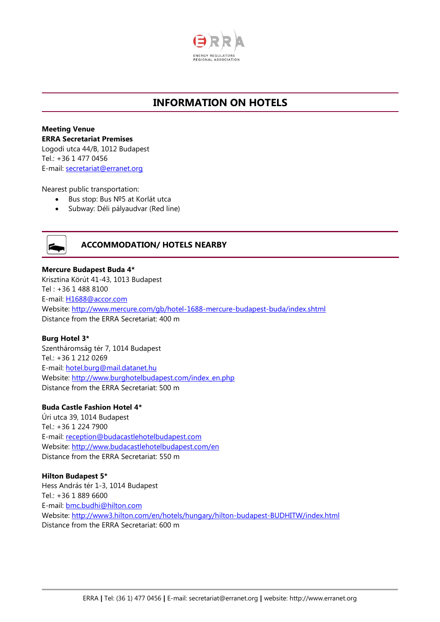

# **INFORMATION ON HOTELS**

**Meeting Venue ERRA Secretariat Premises** Logodi utca 44/B, 1012 Budapest Tel.: +36 1 477 0456 E-mail: [secretariat@erranet.org](mailto:secretariat@erranet.org)

Nearest public transportation:

- Bus stop: Bus №5 at Korlát utca
- Subway: Déli pályaudvar (Red line)



## **ACCOMMODATION/ HOTELS NEARBY**

**Mercure Budapest Buda 4\*** Krisztina Körút 41-43, 1013 Budapest Tel : +36 1 488 8100 E-mail: [H1688@accor.com](mailto:H1688@accor.com) Website:<http://www.mercure.com/gb/hotel-1688-mercure-budapest-buda/index.shtml> Distance from the ERRA Secretariat: 400 m

## **Burg Hotel 3\***

Szentháromság tér 7, 1014 Budapest Tel.: +36 1 212 0269 E-mail: [hotel.burg@mail.datanet.hu](mailto:hotel.burg@mail.datanet.hu)  Website: http://www.burghotelbudapest.com/index\_en.php Distance from the ERRA Secretariat: 500 m

## **Buda Castle Fashion Hotel 4\***

Úri utca 39, 1014 Budapest Tel.: +36 1 224 7900 E-mail: [reception@budacastlehotelbudapest.com](mailto:reception@budacastlehotelbudapest.com)  Website:<http://www.budacastlehotelbudapest.com/en> Distance from the ERRA Secretariat: 550 m

## **Hilton Budapest 5\*** Hess András tér 1-3, 1014 Budapest Tel.: +36 1 889 6600 E-mail: [bmc.budhi@hilton.com](mailto:bmc.budhi@hilton.com) Website:<http://www3.hilton.com/en/hotels/hungary/hilton-budapest-BUDHITW/index.html> Distance from the ERRA Secretariat: 600 m